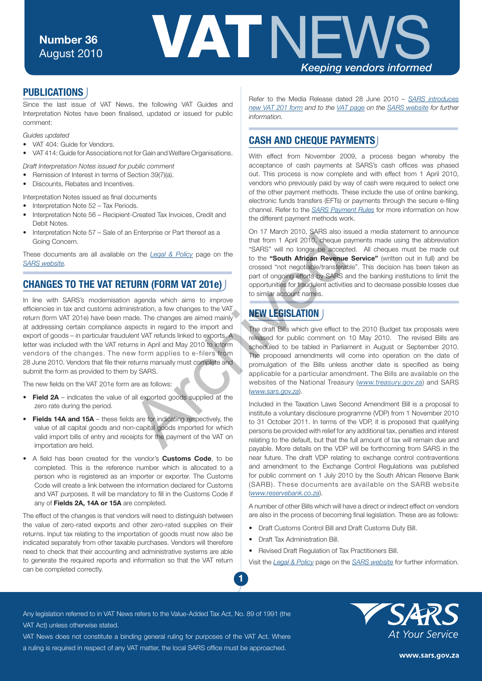

#### **PUBLICATIONS**

Since the last issue of VAT News, the following VAT Guides and Interpretation Notes have been finalised, updated or issued for public comment:

*Guides updated*

- VAT 404: Guide for Vendors.
- VAT 414: Guide for Associations not for Gain and Welfare Organisations.
- *Draft Interpretation Notes issued for public comment*
- Remission of Interest in terms of Section 39(7)(a).
- Discounts, Rebates and Incentives.
- Interpretation Notes issued as final documents
- Interpretation Note 52 Tax Periods.
- Interpretation Note 56 Recipient-Created Tax Invoices, Credit and Debit Notes.
- Interpretation Note 57 Sale of an Enterprise or Part thereof as a Going Concern.

These documents are all available on the *Legal & Policy* page on the *[SARS website.](http://www.sars.gov.za/)*

## **CHANGES TO THE VAT RETURN (FORM VAT 201e)**

In line with SARS's modernisation agenda which aims to improve efficiencies in tax and customs administration, a few changes to the VAT return (form VAT 201e) have been made. The changes are aimed mainly at addressing certain compliance aspects in regard to the import and export of goods – in particular fraudulent VAT refunds linked to exports. A letter was included with the VAT returns in April and May 2010 to inform vendors of the changes. The new form applies to e-filers from 28 June 2010. Vendors that file their returns manually must complete and submit the form as provided to them by SARS. The membersion of the Legal & Policy page on the the that from 1 April 2010, cheque p<br>
that from 1 April 2010, cheque p<br>
same that from 1 April 2010, cheque p<br>
crossed "not negotiable transferance"<br>
pagenda which aims to i

The new fields on the VAT 201e form are as follows:

- **Field 2A** indicates the value of all exported goods supplied at the zero rate during the period.
- • **Fields 14A and 15A** these fields are for indicating respectively, the value of all capital goods and non-capital goods imported for which valid import bills of entry and receipts for the payment of the VAT on importation are held.
- • A field has been created for the vendor's **Customs Code**, to be completed. This is the reference number which is allocated to a person who is registered as an importer or exporter. The Customs Code will create a link between the information declared for Customs and VAT purposes. It will be mandatory to fill in the Customs Code if any of **Fields 2A, 14A or 15A** are completed.

The effect of the changes is that vendors will need to distinguish between the value of zero-rated exports and other zero-rated supplies on their returns. Input tax relating to the importation of goods must now also be indicated separately from other taxable purchases. Vendors will therefore need to check that their accounting and administrative systems are able to generate the required reports and information so that the VAT return can be completed correctly.

Refer to the Media Release dated 28 June 2010 – *[SARS introduces](http://www.sars.gov.za/home.asp?PID=54515&ToolID=2&ItemID=59517)  [new VAT 201 form](http://www.sars.gov.za/home.asp?PID=54515&ToolID=2&ItemID=59517) and to th[e VAT page](http://www.sars.gov.za/home.asp?pid=194) on the [SARS website](http://www.sars.gov.za/) for further information.*

#### **CASH AND CHEQUE PAYMENTS**

With effect from November 2009, a process began whereby the acceptance of cash payments at SARS's cash offices was phased out. This process is now complete and with effect from 1 April 2010, vendors who previously paid by way of cash were required to select one of the other payment methods. These include the use of online banking, electronic funds transfers (EFTs) or payments through the secure e-filing channel. Refer to the *[SARS Payment Rules](http://www.sars.gov.za/home.asp?pid=4150&tid=65&s=pubs&show=1177)* for more information on how the different payment methods work.

On 17 March 2010, SARS also issued a media statement to announce that from 1 April 2010, cheque payments made using the abbreviation "SARS" will no longer be accepted. All cheques must be made out to the **"South African Revenue Service"** (written out in full) and be crossed "not negotiable/transferable". This decision has been taken as part of ongoing efforts by SARS and the banking institutions to limit the opportunities for fraudulent activities and to decrease possible losses due to similar account names.

# **NEW LEGISLATION**

The draft Bills which give effect to the 2010 Budget tax proposals were released for public comment on 10 May 2010. The revised Bills are scheduled to be tabled in Parliament in August or September 2010. The proposed amendments will come into operation on the date of promulgation of the Bills unless another date is specified as being applicable for a particular amendment. The Bills are available on the websites of the National Treasury (*[www.treasury.gov.za](http://www.treasury.gov.za)*) and SARS (*www.sars.gov.za*).

Included in the Taxation Laws Second Amendment Bill is a proposal to institute a voluntary disclosure programme (VDP) from 1 November 2010 to 31 October 2011. In terms of the VDP, it is proposed that qualifying persons be provided with relief for any additional tax, penalties and interest relating to the default, but that the full amount of tax will remain due and payable. More details on the VDP will be forthcoming from SARS in the near future. The draft VDP relating to exchange control contraventions and amendment to the Exchange Control Regulations was published for public comment on 1 July 2010 by the South African Reserve Bank (SARB). These documents are available on the SARB website (*[www.reservebank.co.za](http://www.reservebank.co.za/)*).

A number of other Bills which will have a direct or indirect effect on vendors are also in the process of becoming final legislation. These are as follows:

- Draft Customs Control Bill and Draft Customs Duty Bill.
- Draft Tax Administration Bill.

**1**

• Revised Draft Regulation of Tax Practitioners Bill.

Visit the *[Legal & Policy](http://www.sars.gov.za/home.asp?pid=160)* page on the *[SARS website](http://www.sars.gov.za/)* for further information.

Any legislation referred to in VAT News refers to the Value-Added Tax Act, No. 89 of 1991 (the

VAT Act) unless otherwise stated.

VAT News does not constitute a binding general ruling for purposes of the VAT Act. Where a ruling is required in respect of any VAT matter, the local SARS office must be approached.



www.sars.gov.za